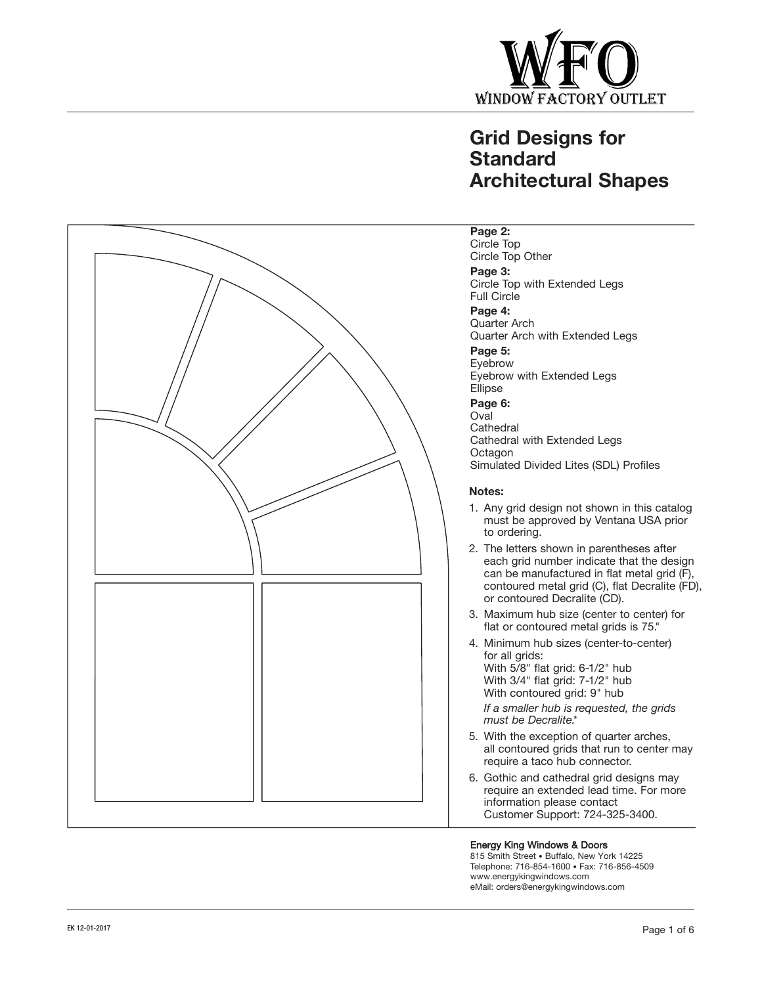

# **Grid Designs for Standard Architectural Shapes**



#### **Page 2:**

Circle Top Circle Top Other

### **Page 3:**

Circle Top with Extended Legs Full Circle

**Page 4:**  Quarter Arch Quarter Arch with Extended Legs

**Page 5:**

Eyebrow Eyebrow with Extended Legs Ellipse

**Page 6:**

Oval **Cathedral** Cathedral with Extended Legs **Octagon** Simulated Divided Lites (SDL) Profiles

#### **Notes:**

- 1. Any grid design not shown in this catalog must be approved by Ventana USA prior to ordering.
- 2. The letters shown in parentheses after each grid number indicate that the design can be manufactured in flat metal grid (F), contoured metal grid (C), flat Decralite (FD), or contoured Decralite (CD).
- 3. Maximum hub size (center to center) for flat or contoured metal grids is 75."
- 4. Minimum hub sizes (center-to-center) for all grids:

With 5/8" flat grid: 6-1/2" hub With 3/4" flat grid: 7-1/2" hub With contoured grid: 9" hub

*If a smaller hub is requested, the grids must be Decralite.\**

- 5. With the exception of quarter arches, all contoured grids that run to center may require a taco hub connector.
- 6. Gothic and cathedral grid designs may require an extended lead time. For more information please contact Customer Support: 724-325-3400.

#### Energy King Windows & Doors

815 Smith Street • Buffalo, New York 14225 Telephone: 716-854-1600 • Fax: 716-856-4509 www.energykingwindows.com eMail: orders@energykingwindows.com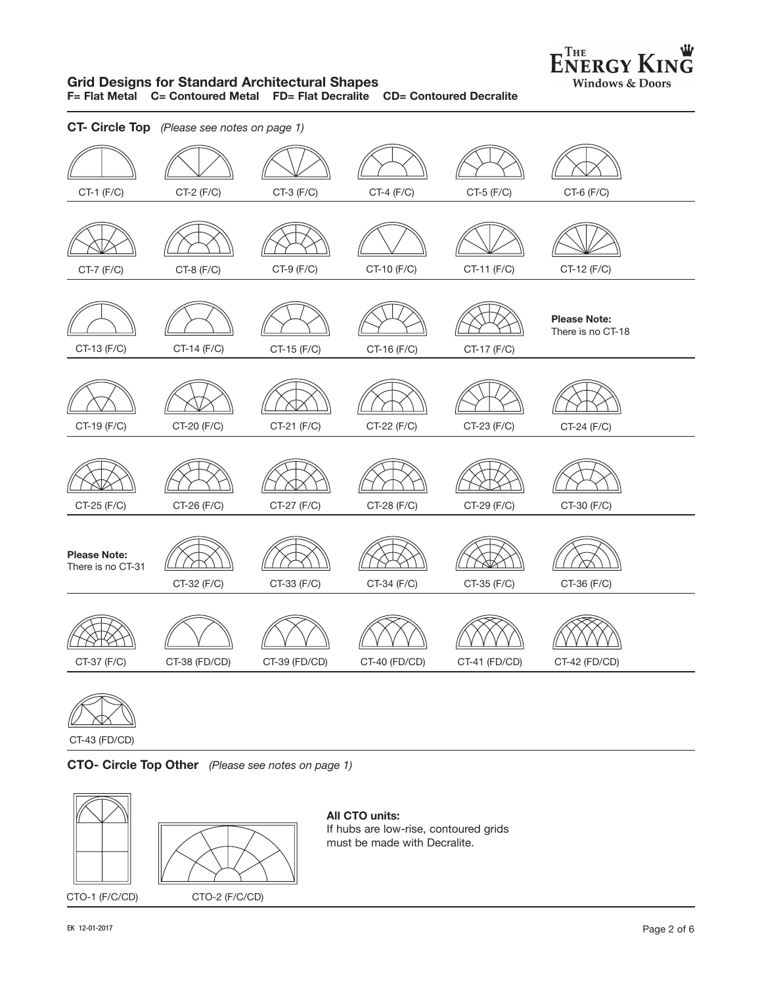

#### **Grid Designs for Standard Architectural Shapes F= Flat Metal C= Contoured Metal FD= Flat Decralite CD= Contoured Decralite**

| $CT-1$ $(F/C)$<br>$CT-2$ $(F/C)$<br>$CT-3$ $(F/C)$<br>$CT-4$ (F/C)<br>CT-5 (F/C)<br>CT-6 (F/C)<br>CT-9 (F/C)<br>CT-10 (F/C)<br>CT-11 (F/C)<br>CT-7 (F/C)<br>$CT-8$ (F/C)<br>CT-12 (F/C)<br><b>Please Note:</b><br>There is no CT-18<br>CT-13 (F/C)<br>CT-14 (F/C)<br>CT-15 (F/C)<br>CT-16 (F/C)<br>CT-17 (F/C)<br>CT-19 (F/C)<br>CT-20 (F/C)<br>CT-21 (F/C)<br>CT-22 (F/C)<br>CT-23 (F/C)<br>CT-24 (F/C)<br>CT-25 (F/C)<br>CT-26 (F/C)<br>CT-27 (F/C)<br>CT-28 (F/C)<br>CT-29 (F/C)<br>CT-30 (F/C)<br><b>Please Note:</b><br>There is no CT-31<br>CT-32 (F/C)<br>CT-33 (F/C)<br>CT-34 (F/C)<br>CT-35 (F/C)<br>CT-36 (F/C)<br>CT-37 (F/C)<br>CT-38 (FD/CD)<br>CT-39 (FD/CD)<br>CT-40 (FD/CD)<br>CT-41 (FD/CD)<br>CT-42 (FD/CD) | CT- Circle Top (Please see notes on page 1) |  |  |
|-------------------------------------------------------------------------------------------------------------------------------------------------------------------------------------------------------------------------------------------------------------------------------------------------------------------------------------------------------------------------------------------------------------------------------------------------------------------------------------------------------------------------------------------------------------------------------------------------------------------------------------------------------------------------------------------------------------------------------|---------------------------------------------|--|--|
|                                                                                                                                                                                                                                                                                                                                                                                                                                                                                                                                                                                                                                                                                                                               |                                             |  |  |
|                                                                                                                                                                                                                                                                                                                                                                                                                                                                                                                                                                                                                                                                                                                               |                                             |  |  |
|                                                                                                                                                                                                                                                                                                                                                                                                                                                                                                                                                                                                                                                                                                                               |                                             |  |  |
|                                                                                                                                                                                                                                                                                                                                                                                                                                                                                                                                                                                                                                                                                                                               |                                             |  |  |
|                                                                                                                                                                                                                                                                                                                                                                                                                                                                                                                                                                                                                                                                                                                               |                                             |  |  |
|                                                                                                                                                                                                                                                                                                                                                                                                                                                                                                                                                                                                                                                                                                                               |                                             |  |  |
|                                                                                                                                                                                                                                                                                                                                                                                                                                                                                                                                                                                                                                                                                                                               |                                             |  |  |



CT-43 (FD/CD)

**CTO- Circle Top Other** *(Please see notes on page 1)* 



**All CTO units:** If hubs are low-rise, contoured grids must be made with Decralite.

CTO-1 (F/C/CD) CTO-2 (F/C/CD)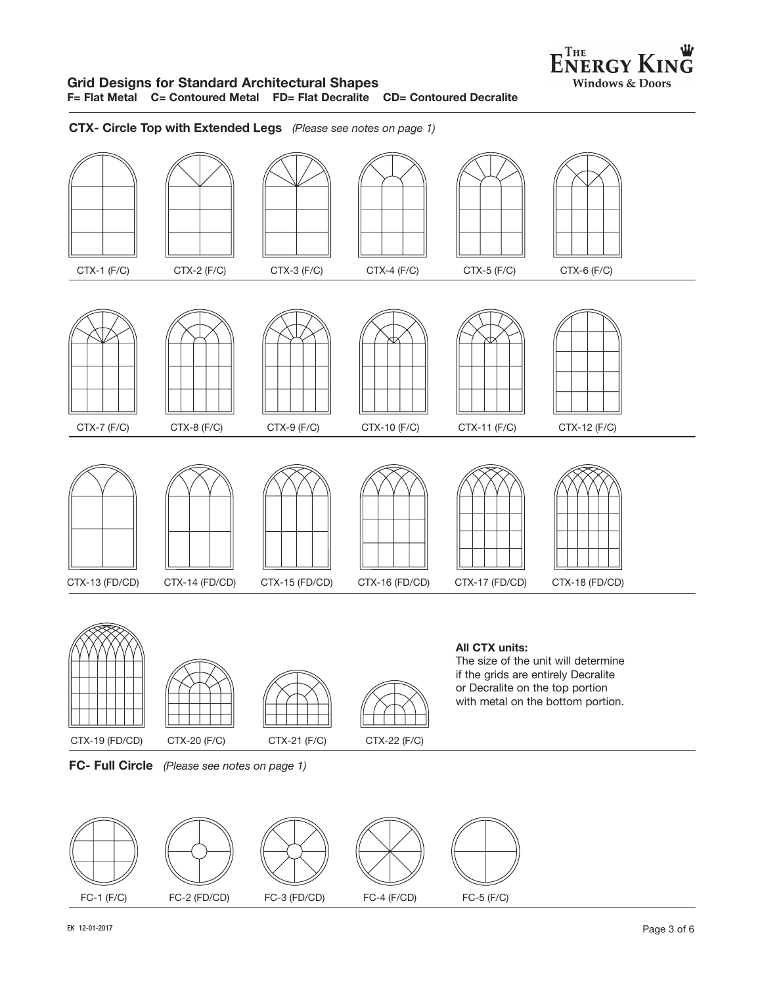#### **Grid Designs for Standard Architectural Shapes F= Flat Metal C= Contoured Metal FD= Flat Decralite CD= Contoured Decralite**

**CTX- Circle Top with Extended Legs** *(Please see notes on page 1)*









#### **All CTX units:** The size of the unit will determine if the grids are entirely Decralite or Decralite on the top portion with metal on the bottom portion.



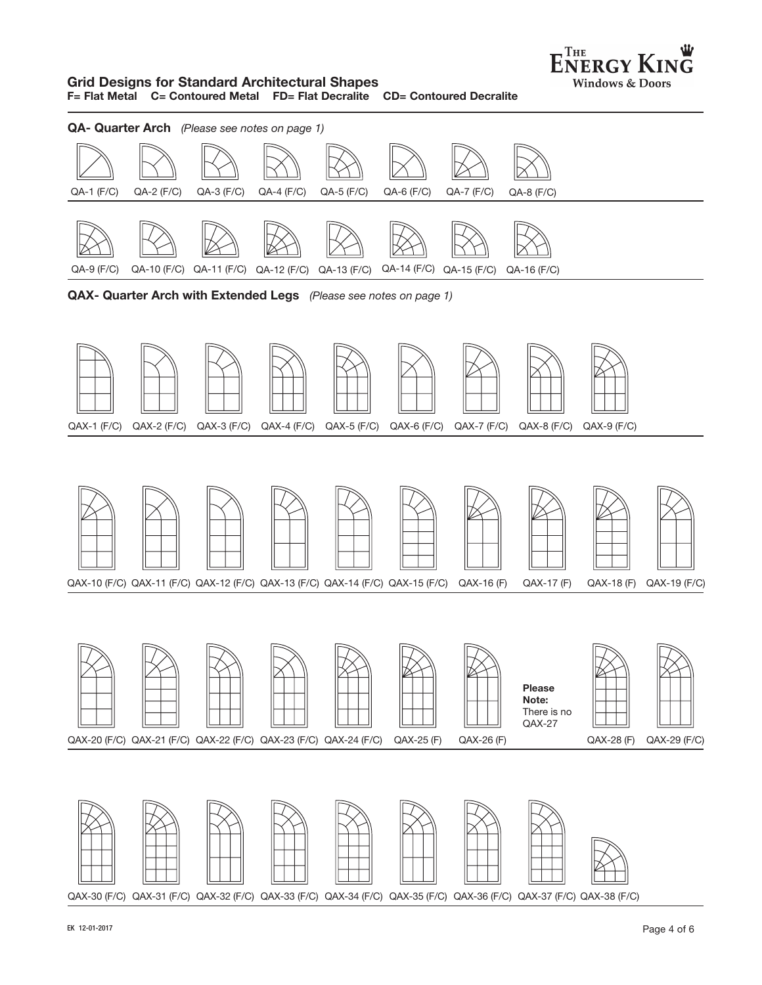

#### **Grid Designs for Standard Architectural Shapes F= Flat Metal C= Contoured Metal FD= Flat Decralite CD= Contoured Decralite**

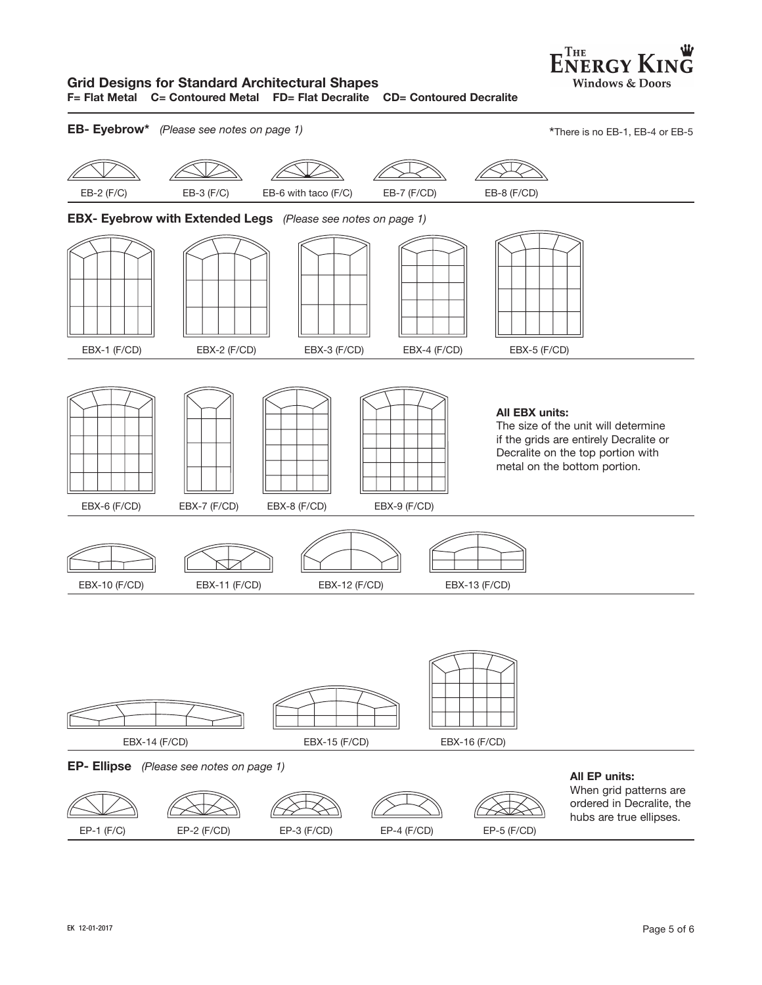## **Grid Designs for Standard Architectural Shapes**

**F= Flat Metal C= Contoured Metal FD= Flat Decralite CD= Contoured Decralite**